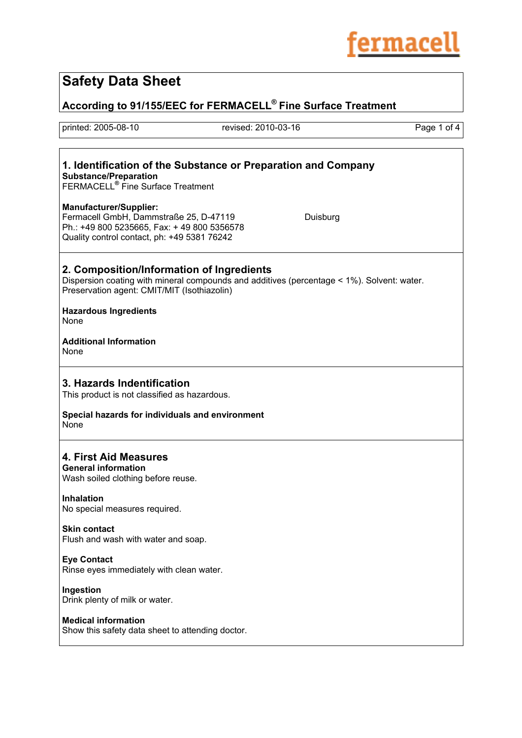

# **Safety Data Sheet**

**According to 91/155/EEC for FERMACELL® Fine Surface Treatment**

printed: 2005-08-10 revised: 2010-03-16 Page 1 of 4

### **1. Identification of the Substance or Preparation and Company Substance/Preparation**

FERMACELL**®** Fine Surface Treatment

#### **Manufacturer/Supplier:**

Fermacell GmbH, Dammstraße 25, D-47119 Duisburg Ph.: +49 800 5235665, Fax: + 49 800 5356578 Quality control contact, ph: +49 5381 76242

### **2. Composition/Information of Ingredients**

Dispersion coating with mineral compounds and additives (percentage < 1%). Solvent: water. Preservation agent: CMIT/MIT (Isothiazolin)

#### **Hazardous Ingredients**  None

**Additional Information**  None

### **3. Hazards Indentification**

This product is not classified as hazardous.

**Special hazards for individuals and environment None** 

### **4. First Aid Measures**

#### **General information**

Wash soiled clothing before reuse.

**Inhalation**  No special measures required.

**Skin contact** Flush and wash with water and soap.

### **Eye Contact**

Rinse eyes immediately with clean water.

**Ingestion** 

Drink plenty of milk or water.

#### **Medical information**

Show this safety data sheet to attending doctor.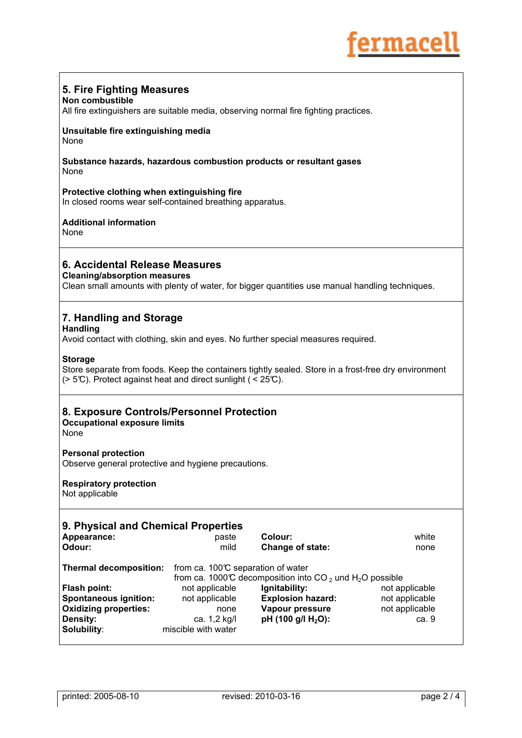

### **5. Fire Fighting Measures**

#### **Non combustible**

All fire extinguishers are suitable media, observing normal fire fighting practices.

#### **Unsuitable fire extinguishing media**  None

#### **Substance hazards, hazardous combustion products or resultant gases** None

#### **Protective clothing when extinguishing fire**

In closed rooms wear self-contained breathing apparatus.

### **Additional information**

None

### **6. Accidental Release Measures**

#### **Cleaning/absorption measures**

Clean small amounts with plenty of water, for bigger quantities use manual handling techniques.

### **7. Handling and Storage**

#### **Handling**

Avoid contact with clothing, skin and eyes. No further special measures required.

#### **Storage**

Store separate from foods. Keep the containers tightly sealed. Store in a frost-free dry environment ( $> 5^{\circ}$ ). Protect against heat and direct sunlight ( $\leq 25^{\circ}$ ).

### **8. Exposure Controls/Personnel Protection**

**Occupational exposure limits** 

None

#### **Personal protection**

Observe general protective and hygiene precautions.

### **Respiratory protection**

Not applicable

| 9. Physical and Chemical Properties<br>Appearance:<br>Odour:                                                                                                  | paste<br>mild                                                                   | Colour:<br>Change of state:                                                           | white<br>none                                               |
|---------------------------------------------------------------------------------------------------------------------------------------------------------------|---------------------------------------------------------------------------------|---------------------------------------------------------------------------------------|-------------------------------------------------------------|
| from ca. $100^\circ$ separation of water<br><b>Thermal decomposition:</b><br>from ca. 1000°C decomposition into CO <sub>2</sub> und H <sub>2</sub> O possible |                                                                                 |                                                                                       |                                                             |
| <b>Flash point:</b><br><b>Spontaneous ignition:</b><br><b>Oxidizing properties:</b><br><b>Density:</b><br>Solubility:                                         | not applicable<br>not applicable<br>none<br>ca. 1,2 kg/l<br>miscible with water | Ignitability:<br><b>Explosion hazard:</b><br>Vapour pressure<br>pH (100 g/l $H_2O$ ): | not applicable<br>not applicable<br>not applicable<br>ca. 9 |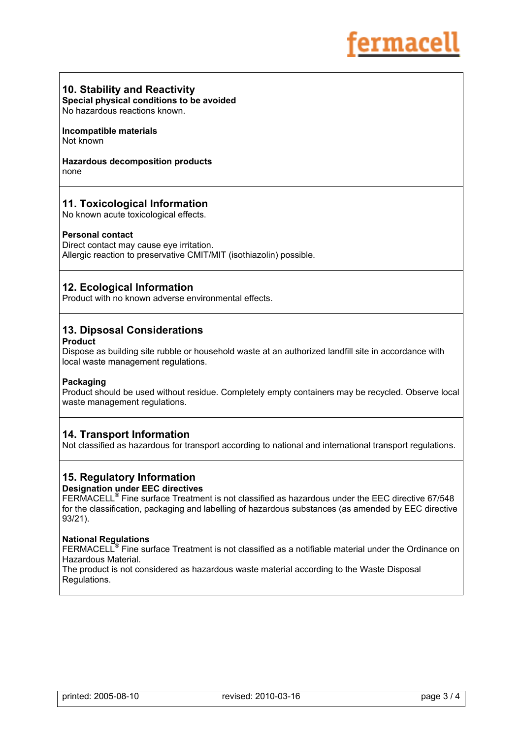### **10. Stability and Reactivity**

**Special physical conditions to be avoided**  No hazardous reactions known.

**Incompatible materials**  Not known

**Hazardous decomposition products**  none

### **11. Toxicological Information**

No known acute toxicological effects.

#### **Personal contact**

Direct contact may cause eye irritation. Allergic reaction to preservative CMIT/MIT (isothiazolin) possible.

### **12. Ecological Information**

Product with no known adverse environmental effects.

## **13. Dipsosal Considerations**

### **Product**

Dispose as building site rubble or household waste at an authorized landfill site in accordance with local waste management regulations.

#### **Packaging**

Product should be used without residue. Completely empty containers may be recycled. Observe local waste management regulations.

#### **14. Transport Information**

Not classified as hazardous for transport according to national and international transport regulations.

# **15. Regulatory Information**

### **Designation under EEC directives**

FERMACELL® Fine surface Treatment is not classified as hazardous under the EEC directive 67/548 for the classification, packaging and labelling of hazardous substances (as amended by EEC directive 93/21).

#### **National Regulations**

FERMACELL® Fine surface Treatment is not classified as a notifiable material under the Ordinance on Hazardous Material.

The product is not considered as hazardous waste material according to the Waste Disposal Regulations.